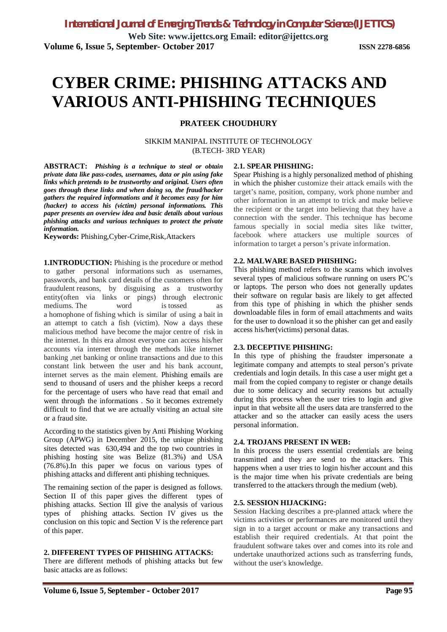**Web Site: www.ijettcs.org Email: editor@ijettcs.org Volume 6, Issue 5, September- October 2017 ISSN 2278-6856**

# **CYBER CRIME: PHISHING ATTACKS AND VARIOUS ANTI-PHISHING TECHNIQUES**

#### **PRATEEK CHOUDHURY**

SIKKIM MANIPAL INSTITUTE OF TECHNOLOGY (B.TECH- 3RD YEAR)

**ABSTRACT:** *Phishing is a technique to steal or obtain private data like pass-codes, usernames, data or pin using fake links which pretends to be trustworthy and original. Users often goes through these links and when doing so, the fraud/hacker gathers the required informations and it becomes easy for him (hacker) to access his (victim) personal informations. This paper presents an overview idea and basic details about various phishing attacks and various techniques to protect the private information.*

**Keywords:** Phishing,Cyber-Crime,Risk,Attackers

**1.INTRODUCTION:** Phishing is the procedure or method to gather personal informations such as usernames, passwords, and bank card details of the customers often for fraudulent reasons, by disguising as a trustworthy entity(often via links or pings) through electronic mediums. The word is tossed as a homophone of fishing which is similar of using a bait in an attempt to catch a fish (victim). Now a days these malicious method have become the major centre of risk in the internet. In this era almost everyone can access his/her accounts via internet through the methods like internet banking ,net banking or online transactions and due to this constant link between the user and his bank account, internet serves as the main element. Phishing emails are send to thousand of users and the phisher keeps a record for the percentage of users who have read that email and went through the informations . So it becomes extremely difficult to find that we are actually visiting an actual site or a fraud site.

According to the statistics given by Anti Phishing Working Group (APWG) in December 2015, the unique phishing sites detected was 630,494 and the top two countries in phishing hosting site was Belize (81.3%) and USA (76.8%).In this paper we focus on various types of phishing attacks and different anti phishing techniques.

The remaining section of the paper is designed as follows. Section II of this paper gives the different types of phishing attacks. Section III give the analysis of various types of phishing attacks. Section IV gives us the conclusion on this topic and Section V is the reference part of this paper.

#### **2. DIFFERENT TYPES OF PHISHING ATTACKS:**

There are different methods of phishing attacks but few basic attacks are as follows:

#### **2.1. SPEAR PHISHING:**

Spear Phishing is a highly personalized method of phishing in which the phisher customize their attack emails with the target's name, position, company, work phone number and other information in an attempt to trick and make believe the recipient or the target into believing that they have a connection with the sender. This technique has become famous specially in social media sites like twitter, facebook where attackers use multiple sources of information to target a person's private information.

#### **2.2. MALWARE BASED PHISHING:**

This phishing method refers to the scams which involves several types of malicious software running on users PC's or laptops. The person who does not generally updates their software on regular basis are likely to get affected from this type of phishing in which the phisher sends downloadable files in form of email attachments and waits for the user to download it so the phisher can get and easily access his/her(victims) personal datas.

#### **2.3. DECEPTIVE PHISHING:**

In this type of phishing the fraudster impersonate a legitimate company and attempts to steal person's private credentials and login details. In this case a user might get a mail from the copied company to register or change details due to some delicacy and security reasons but actually during this process when the user tries to login and give input in that website all the users data are transferred to the attacker and so the attacker can easily acess the users personal information.

#### **2.4. TROJANS PRESENT IN WEB:**

In this process the users essential credentials are being transmitted and they are send to the attackers. This happens when a user tries to login his/her account and this is the major time when his private credentials are being transferred to the attackers through the medium (web).

#### **2.5. SESSION HIJACKING:**

Session Hacking describes a pre-planned attack where the victims activities or performances are monitored until they sign in to a target account or make any transactions and establish their required credentials. At that point the fraudulent software takes over and comes into its role and undertake unauthorized actions such as transferring funds, without the user's knowledge.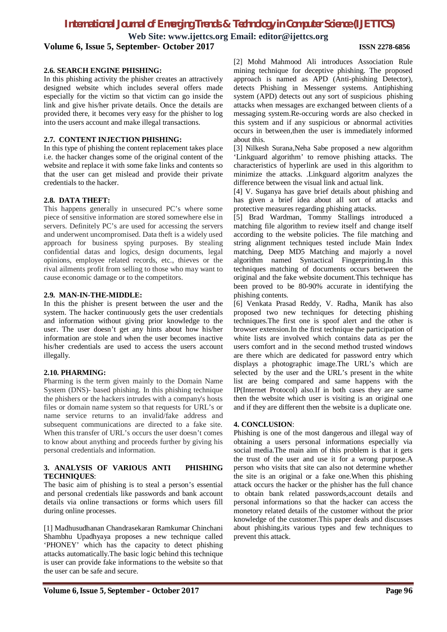## *International Journal of Emerging Trends & Technology in Computer Science (IJETTCS)*

**Web Site: www.ijettcs.org Email: editor@ijettcs.org**

**Volume 6, Issue 5, September- October 2017 ISSN 2278-6856**

#### **2.6. SEARCH ENGINE PHISHING:**

In this phishing activity the phisher creates an attractively designed website which includes several offers made especially for the victim so that victim can go inside the link and give his/her private details. Once the details are provided there, it becomes very easy for the phisher to log into the users account and make illegal transactions.

#### **2.7. CONTENT INJECTION PHISHING:**

In this type of phishing the content replacement takes place i.e. the hacker changes some of the original content of the website and replace it with some fake links and contents so that the user can get mislead and provide their private credentials to the hacker.

#### **2.8. DATA THEFT:**

This happens generally in unsecured PC's where some piece of sensitive information are stored somewhere else in servers. Definitely PC's are used for accessing the servers and underwent uncompromised. Data theft is a widely used approach for business spying purposes. By stealing confidential datas and logics, design documents, legal opinions, employee related records, etc., thieves or the rival ailments profit from selling to those who may want to cause economic damage or to the competitors.

#### **2.9. MAN-IN-THE-MIDDLE:**

In this the phisher is present between the user and the system. The hacker continuously gets the user credentials and information without giving prior knowledge to the user. The user doesn't get any hints about how his/her information are stole and when the user becomes inactive his/her credentials are used to access the users account illegally.

#### **2.10. PHARMING:**

Pharming is the term given mainly to the Domain Name System (DNS)- based phishing. In this phishing technique the phishers or the hackers intrudes with a company's hosts files or domain name system so that requests for URL's or name service returns to an invalid/fake address and subsequent communications are directed to a fake site. When this transfer of URL's occurs the user doesn't comes to know about anything and proceeds further by giving his personal credentials and information.

#### **3. ANALYSIS OF VARIOUS ANTI PHISHING TECHNIQUES**:

The basic aim of phishing is to steal a person's essential and personal credentials like passwords and bank account details via online transactions or forms which users fill during online processes.

[1] Madhusudhanan Chandrasekaran Ramkumar Chinchani Shambhu Upadhyaya proposes a new technique called 'PHONEY' which has the capacity to detect phishing attacks automatically.The basic logic behind this technique is user can provide fake informations to the website so that the user can be safe and secure.

[2] Mohd Mahmood Ali introduces Association Rule mining technique for deceptive phishing. The proposed approach is named as APD (Anti-phishing Detector), detects Phishing in Messenger systems. Antiphishing system (APD) detects out any sort of suspicious phishing attacks when messages are exchanged between clients of a messaging system.Re-occuring words are also checked in this system and if any suspicious or abnormal activities occurs in between,then the user is immediately informed about this.

[3] Nilkesh Surana,Neha Sabe proposed a new algorithm 'Linkguard algorithm' to remove phishing attacks. The characteristics of hyperlink are used in this algorithm to minimize the attacks. .Linkguard algoritm analyzes the difference between the visual link and actual link.

[4] V. Suganya has gave brief details about phishing and has given a brief idea about all sort of attacks and protective measures regarding phishing attacks.

[5] Brad Wardman, Tommy Stallings introduced a matching file algorithm to review itself and change itself according to the website policies. The file matching and string alignment techniques tested include Main Index matching, Deep MD5 Matching and majorly a novel algorithm named Syntactical Fingerprinting.In this techniques matching of documents occurs between the original and the fake website document.This technique has been proved to be 80-90% accurate in identifying the phishing contents.

[6] Venkata Prasad Reddy, V. Radha, Manik has also proposed two new techniques for detecting phishing techniques.The first one is spoof alert and the other is browser extension.In the first technique the participation of white lists are involved which contains data as per the users comfort and in the second method trusted windows are there which are dedicated for password entry which displays a photographic image.The URL's which are selected by the user and the URL's present in the white list are being compared and same happens with the IP(Internet Protocol) also.If in both cases they are same then the website which user is visiting is an original one and if they are different then the website is a duplicate one.

#### **4. CONCLUSION**:

Phishing is one of the most dangerous and illegal way of obtaining a users personal informations especially via social media.The main aim of this problem is that it gets the trust of the user and use it for a wrong purpose.A person who visits that site can also not determine whether the site is an original or a fake one.When this phishing attack occurs the hacker or the phisher has the full chance to obtain bank related passwords,account details and personal informations so that the hacker can access the monetory related details of the customer without the prior knowledge of the customer.This paper deals and discusses about phishing,its various types and few techniques to prevent this attack.